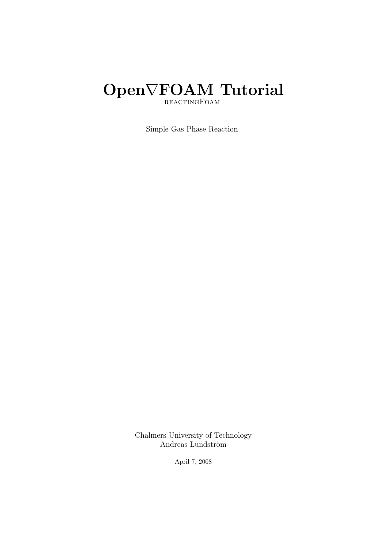# Open∇FOAM Tutorial reactingFoam

Simple Gas Phase Reaction

Chalmers University of Technology Andreas Lundström

April 7, 2008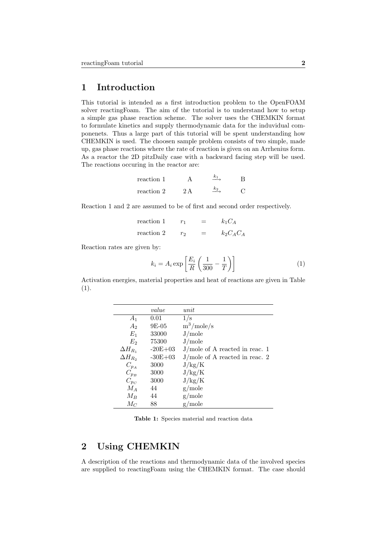## 1 Introduction

This tutorial is intended as a first introduction problem to the OpenFOAM solver reactingFoam. The aim of the tutorial is to understand how to setup a simple gas phase reaction scheme. The solver uses the CHEMKIN format to formulate kinetics and supply thermodynamic data for the induvidual componenets. Thus a large part of this tutorial will be spent understanding how CHEMKIN is used. The choosen sample problem consists of two simple, made up, gas phase reactions where the rate of reaction is given on an Arrhenius form. As a reactor the 2D pitzDaily case with a backward facing step will be used. The reactions occuring in the reactor are:

| reaction 1 |           |    |  |
|------------|-----------|----|--|
| reaction 2 | $2\Delta$ | k2 |  |

Reaction 1 and 2 are assumed to be of first and second order respectively.

| reaction 1 | r <sub>1</sub> | = | $k_1C_A$    |
|------------|----------------|---|-------------|
| reaction 2 | $r_{\Omega}$   | = | $k_2C_AC_A$ |

Reaction rates are given by:

$$
k_i = A_i \exp\left[\frac{E_i}{R} \left(\frac{1}{300} - \frac{1}{T}\right)\right]
$$
 (1)

Activation energies, material properties and heat of reactions are given in Table (1).

|                  | value     | unit                             |
|------------------|-----------|----------------------------------|
| A <sub>1</sub>   | 0.01      | $1/\mathrm{s}$                   |
| $A_2$            | $9E-05$   | $\rm m^3/mole/s$                 |
| $E_1$            | 33000     | J/mole                           |
| $E_2$            | 75300     | J/mole                           |
| $\Delta H_{R_1}$ | $-20E+03$ | $J/mole$ of A reacted in reac. 1 |
| $\Delta H_{R_2}$ | $-30E+03$ | $J/mole$ of A reacted in reac. 2 |
| $C_{p_A}$        | 3000      | J/kg/K                           |
| $C_{p_B}$        | 3000      | J/kg/K                           |
| $C_{p_C}$        | 3000      | J/kg/K                           |
| $M_A$            | 44        | g/mole                           |
| $M_B$            | 44        | g/mole                           |
| $M_C$            | 88        | g/mole                           |

Table 1: Species material and reaction data

## 2 Using CHEMKIN

A description of the reactions and thermodynamic data of the involved species are supplied to reactingFoam using the CHEMKIN format. The case should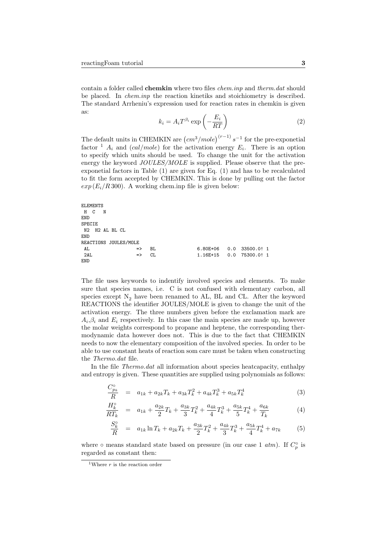contain a folder called **chemkin** where two files *chem.inp* and *therm.dat* should be placed. In chem.inp the reaction kinetiks and stoichiometry is described. The standard Arrheniu's expression used for reaction rates in chemkin is given as:

$$
k_i = A_i T^{\beta_i} \exp\left(-\frac{E_i}{RT}\right) \tag{2}
$$

The default units in CHEMKIN are  $\left( \frac{cm^3}{mol_e} \right)^{(r-1)} s^{-1}$  for the pre-exponetial factor <sup>1</sup>  $A_i$  and  $(cal/mole)$  for the activation energy  $E_i$ . There is an option to specify which units should be used. To change the unit for the activation energy the keyword *JOULES/MOLE* is supplied. Please observe that the preexponetial factors in Table (1) are given for Eq. (1) and has to be recalculated to fit the form accepted by CHEMKIN. This is done by pulling out the factor  $\exp(E_i/R 300)$ . A working chem.inp file is given below:

|               | ELEMENTS |             |                       |    |                           |  |  |
|---------------|----------|-------------|-----------------------|----|---------------------------|--|--|
| H C           |          | N           |                       |    |                           |  |  |
| END           |          |             |                       |    |                           |  |  |
| <b>SPECIE</b> |          |             |                       |    |                           |  |  |
| N2            |          | H2 AL BL CL |                       |    |                           |  |  |
| END           |          |             |                       |    |                           |  |  |
|               |          |             | REACTIONS JOULES/MOLE |    |                           |  |  |
| AL            |          |             | $\Rightarrow$         | BL | 6.80E+06  0.0  33500.0! 1 |  |  |
| 2AL           |          |             | $\Rightarrow$         | CL | 1.16E+15  0.0  75300.0! 1 |  |  |
| END           |          |             |                       |    |                           |  |  |

The file uses keywords to indentify involved species and elements. To make sure that species names, i.e. C is not confused with elementary carbon, all species except  $N_2$  have been renamed to AL, BL and CL. After the keyword REACTIONS the identifier JOULES/MOLE is given to change the unit of the activation energy. The three numbers given before the exclamation mark are  $A_i, \beta_i$  and  $E_i$  respectively. In this case the main species are made up, however the molar weights correspond to propane and heptene, the corresponding thermodynamic data however does not. This is due to the fact that CHEMKIN needs to now the elementary composition of the involved species. In order to be able to use constant heats of reaction som care must be taken when constructing the Thermo.dat file.

In the file *Thermo.dat* all information about species heatcapacity, enthalpy and entropy is given. These quantities are supplied using polynomials as follows:

$$
\frac{C_{p_k}^{\circ}}{R} = a_{1k} + a_{2k}T_k + a_{3k}T_k^2 + a_{4k}T_k^3 + a_{5k}T_k^4
$$
\n(3)

$$
\frac{H_k^{\circ}}{RT_k} = a_{1k} + \frac{a_{2k}}{2}T_k + \frac{a_{3k}}{3}T_k^2 + \frac{a_{4k}}{4}T_k^3 + \frac{a_{5k}}{5}T_k^4 + \frac{a_{6k}}{T_k}
$$
(4)

$$
\frac{S_k^{\circ}}{R} = a_{1k} \ln T_k + a_{2k} T_k + \frac{a_{3k}}{2} T_k^2 + \frac{a_{4k}}{3} T_k^3 + \frac{a_{5k}}{4} T_k^4 + a_{7k} \tag{5}
$$

where  $\circ$  means standard state based on pressure (in our case 1 atm). If  $C_p^{\circ}$  is regarded as constant then:

<sup>&</sup>lt;sup>1</sup>Where  $r$  is the reaction order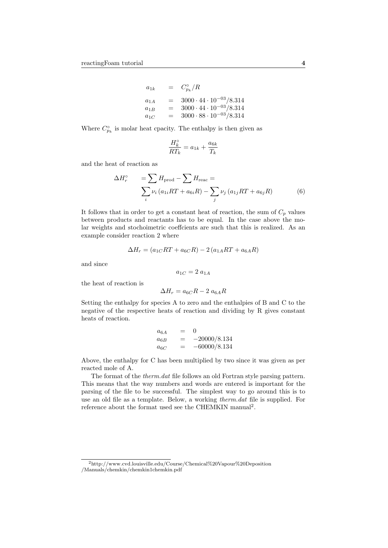| $a_{1k}$ | $=$ | $C_{p_k}^{\circ}/R$                    |
|----------|-----|----------------------------------------|
| $a_{1A}$ | $=$ | $3000 \cdot 44 \cdot 10^{-03} / 8.314$ |
| $a_{1B}$ | $=$ | $3000 \cdot 44 \cdot 10^{-03} / 8.314$ |
| $a_{1C}$ | $=$ | $3000 \cdot 88 \cdot 10^{-03} / 8.314$ |

 $\lambda$ 

Where  $C_{p_k}^{\circ}$  is molar heat cpacity. The enthalpy is then given as

$$
\frac{H_k^{\circ}}{RT_k}=a_{1k}+\frac{a_{6k}}{T_k}
$$

and the heat of reaction as

$$
\Delta H_r^{\circ} = \sum_i H_{\text{prod}} - \sum_i H_{\text{reac}} =
$$
  

$$
\sum_i \nu_i (a_{1i}RT + a_{6i}R) - \sum_j \nu_j (a_{1j}RT + a_{6j}R)
$$
 (6)

It follows that in order to get a constant heat of reaction, the sum of  $C_p$  values between products and reactants has to be equal. In the case above the molar weights and stochoimetric coeffcients are such that this is realized. As an example consider reaction 2 where

$$
\Delta H_r = (a_{1C}RT + a_{6C}R) - 2(a_{1A}RT + a_{6A}R)
$$

and since

$$
a_{1C}=2\ a_{1A}
$$

the heat of reaction is

$$
\Delta H_r = a_{6C}R - 2\ a_{6A}R
$$

Setting the enthalpy for species A to zero and the enthalpies of B and C to the negative of the respective heats of reaction and dividing by R gives constant heats of reaction.

$$
\begin{array}{rcl}\na_{6A} & = & 0 \\
a_{6B} & = & -20000/8.134 \\
a_{6C} & = & -60000/8.134\n\end{array}
$$

Above, the enthalpy for C has been multiplied by two since it was given as per reacted mole of A.

The format of the *therm.dat* file follows an old Fortran style parsing pattern. This means that the way numbers and words are entered is important for the parsing of the file to be successful. The simplest way to go around this is to use an old file as a template. Below, a working therm.dat file is supplied. For reference about the format used see the CHEMKIN manual<sup>2</sup>.

<sup>2</sup>http://www.cvd.louisville.edu/Course/Chemical%20Vapour%20Deposition /Manuals/chemkin/chemkin1chemkin.pdf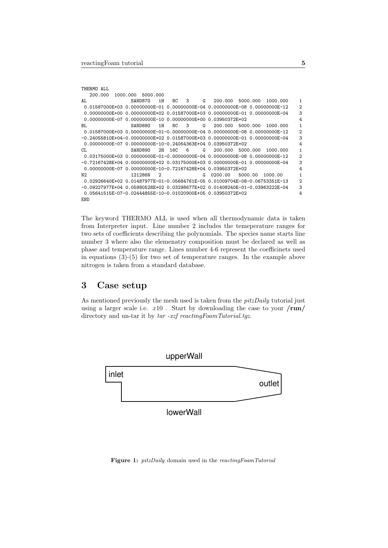| THERMO ALL                                                                    |                                 |   |
|-------------------------------------------------------------------------------|---------------------------------|---|
| 200.000<br>1000.000 5000.000                                                  |                                 |   |
| AL<br>- 8C<br>3<br>SAND870<br>G<br>1 H                                        | 200.000 5000.000 1000.000       |   |
| $0.01587000E+03$ 0.00000000E-01 0.00000000E-04 0.00000000E-08 0.00000000E-12  |                                 | 2 |
| $0.00000000E+00$ 0.00000000E+02 0.01587000E+03 0.00000000E-01 0.00000000E-04  |                                 | 3 |
| $0.00000000E-07$ 0.00000000E-10 0.00000000E+00 0.03950372E+02                 |                                 | 4 |
| BL<br>SAND880<br>8C<br>3<br>1 H<br>G                                          | 5000.000<br>200,000<br>1000.000 | 1 |
| $0.01587000E+03$ 0.00000000E-01-0.00000000E-04 0.00000000E-08 0.00000000E-12  |                                 | 2 |
| $-0.24055810E+04-0.00000000E+02$ 0.01587000E+03 0.00000000E-01 0.00000000E-04 |                                 | 3 |
| $0.00000000E-07$ 0.00000000E-10-0.24054363E+04 0.03950372E+02                 |                                 | 4 |
| CL.<br>SAND890<br>2H 16C<br>6<br>G                                            | 5000.000<br>200.000<br>1000.000 | 1 |
| 0.03175000E+03 0.00000000E-01-0.00000000E-04 0.00000000E-08 0.00000000E-12    |                                 | 2 |
| $-0.72167428E+04$ 0.00000000E+02 0.03175000E+03 0.00000000E-01 0.00000000E-04 |                                 | 3 |
| 0.00000000E-07 0.00000000E-10-0.72167428E+04 0.03950372E+02                   |                                 | 4 |
| N <sub>2</sub><br>2<br>121286N<br>G                                           | 0200.00<br>5000.00<br>1000.00   | 1 |
| 0.02926640E+02.0.01487977E-01-0.05684761E-05.0.01009704E-08-0.06753351E-13    |                                 | 2 |
| $-0.09227977E+04$ 0.05980528E+02 0.03298677E+02 0.01408240E-01-0.03963222E-04 |                                 | 3 |
| $0.05641515E-07-0.02444855E-10-0.01020900E+05$ 0.03950372E+02                 |                                 | 4 |
| F.ND                                                                          |                                 |   |

The keyword THERMO ALL is used when all thermodynamic data is taken from Interpreter input. Line number 2 includes the temeperature ranges for two sets of coefficients describing the polynomials. The species name starts line number 3 where also the elemenatry composition must be declared as well as phase and temperature range. Lines number 4-6 represent the coefficinets used in equations  $(3)-(5)$  for two set of temperature ranges. In the example above nitrogen is taken from a standard database.

## 3 Case setup

As mentioned previously the mesh used is taken from the *pitzDaily* tutorial just using a larger scale i.e.  $x10$ . Start by downloading the case to your  $/\text{run}/$ directory and un-tar it by tar -xzf reactingFoamTutorial.tgz.



Figure 1: pitzDaily domain used in the reactingFoamTutorial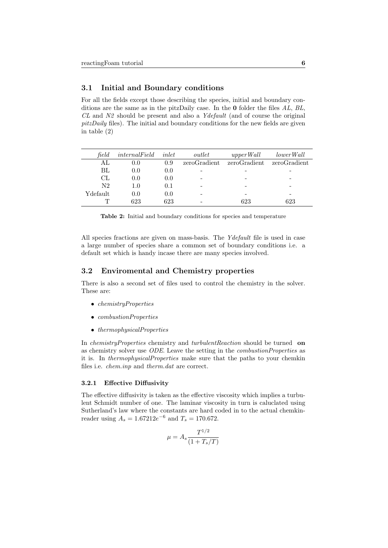#### 3.1 Initial and Boundary conditions

For all the fields except those describing the species, initial and boundary conditions are the same as in the pitzDaily case. In the 0 folder the files AL, BL,  $CL$  and  $N2$  should be present and also a Ydefault (and of course the original  $pitzDaily$  files). The initial and boundary conditions for the new fields are given in table (2)

| field    | internal Field | inlet | outlet       | upperWall    | lowerWall    |
|----------|----------------|-------|--------------|--------------|--------------|
| ΑL       | 0.0            | 0.9   | zeroGradient | zeroGradient | zeroGradient |
| BL       | 0.0            | 0.0   |              |              |              |
| CL       | 0.0            | 0.0   |              |              |              |
| N2       | $1.0\,$        | 0.1   |              |              |              |
| Ydefault | 0.0            | 0.0   |              |              |              |
|          | 623            | 623   |              | 623          | 623          |

Table 2: Initial and boundary conditions for species and temperature

All species fractions are given on mass-basis. The Ydefault file is used in case a large number of species share a common set of boundary conditions i.e. a default set which is handy incase there are many species involved.

#### 3.2 Enviromental and Chemistry properties

There is also a second set of files used to control the chemistry in the solver. These are:

- chemistryProperties
- combustionProperties
- *thermophysicalProperties*

In *chemistryProperties* chemistry and *turbulentReaction* should be turned on as chemistry solver use ODE. Leave the setting in the combustionProperties as it is. In thermophysicalProperties make sure that the paths to your chemkin files i.e. chem.inp and therm.dat are correct.

#### 3.2.1 Effective Diffusivity

The effective diffusivity is taken as the effective viscosity which implies a turbulent Schmidt number of one. The laminar viscosity in turn is caluclated using Sutherland's law where the constants are hard coded in to the actual chemkinreader using  $A_s = 1.67212e^{-6}$  and  $T_s = 170.672$ .

$$
\mu = A_s \frac{T^{1/2}}{(1 + T_s/T)}
$$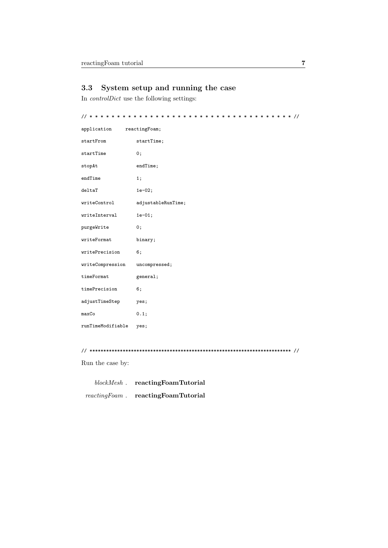### 3.3 System setup and running the case

In controlDict use the following settings:

| application       | reactingFoam;      |
|-------------------|--------------------|
| startFrom         | startTime;         |
| startTime         | 0;                 |
| stopAt            | endTime;           |
| endTime           | 1;                 |
| deltaT            | $1e-02;$           |
| writeControl      | adjustableRunTime; |
| writeInterval     | $1e-01;$           |
| purgeWrite        | 0;                 |
| writeFormat       | binary;            |
| writePrecision    | 6;                 |
| writeCompression  | uncompressed;      |
| timeFormat        | general;           |
| timePrecision     | 6;                 |
| adjustTimeStep    | yes;               |
| maxCo             | 0.1;               |
| runTimeModifiable | yes;               |
|                   |                    |

```
// ************************************************************************* //
```
Run the case by:

blockMesh . reactingFoamTutorial reactingFoam . reactingFoamTutorial